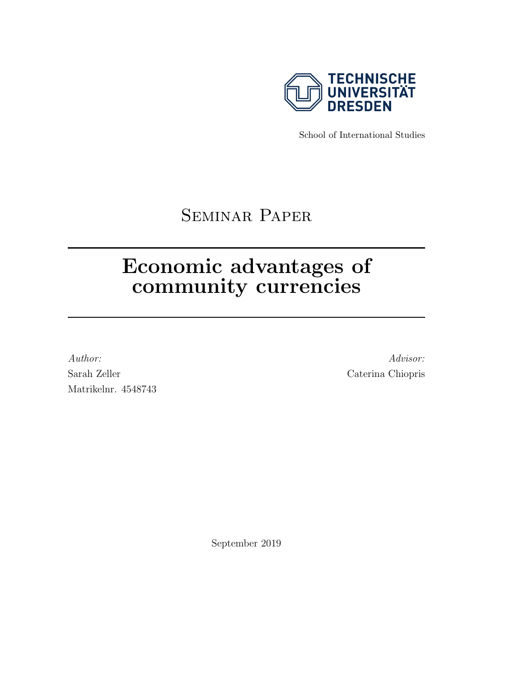

School of International Studies

# Seminar Paper

# Economic advantages of community currencies

Author: Advisor: Advisor: Advisor: Advisor: Advisor: Advisor: Advisor: Advisor: Advisor: Advisor: Advisor: Advisor: Advisor: Advisor: Advisor: Advisor: Advisor: Advisor: Advisor: Advisor: Advisor: Advisor: Advisor: Advisor Sarah Zeller Caterina Chiopris Matrikelnr. 4548743

September 2019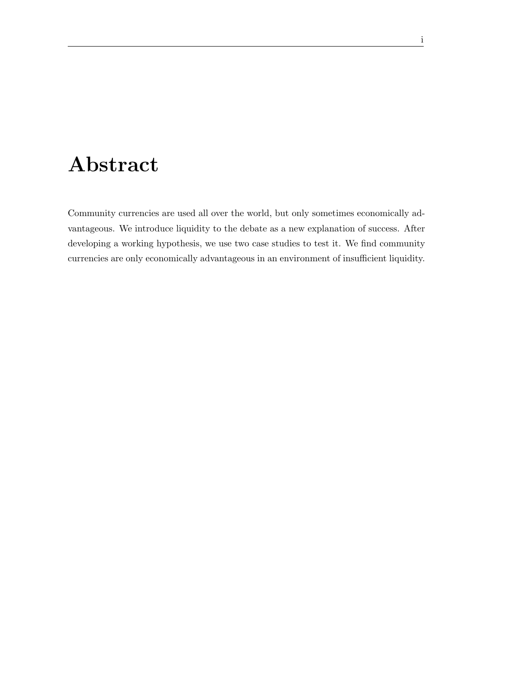# Abstract

Community currencies are used all over the world, but only sometimes economically advantageous. We introduce liquidity to the debate as a new explanation of success. After developing a working hypothesis, we use two case studies to test it. We find community currencies are only economically advantageous in an environment of insufficient liquidity.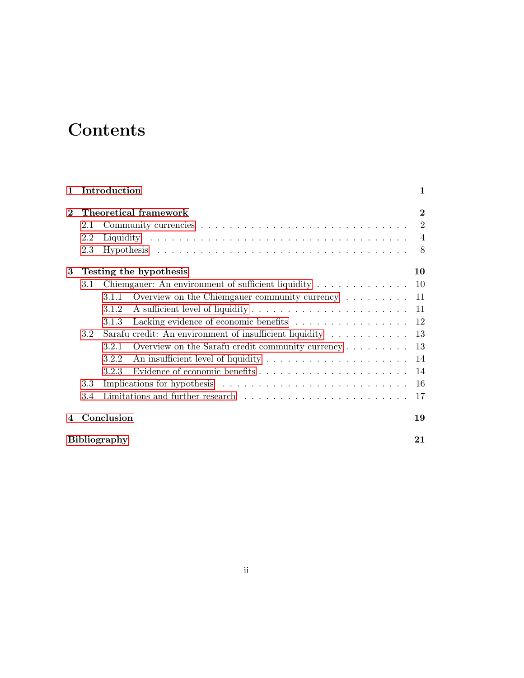# **Contents**

| $\mathbf{1}$   | Introduction              |       |                                                                             | $\mathbf{1}$   |
|----------------|---------------------------|-------|-----------------------------------------------------------------------------|----------------|
| $\mathbf 2$    | Theoretical framework     |       |                                                                             | $\bf{2}$       |
|                | 2.1                       |       |                                                                             | $\overline{2}$ |
|                | 2.2                       |       |                                                                             | $\overline{4}$ |
|                | 2.3                       |       |                                                                             | 8              |
| 3              | Testing the hypothesis    |       |                                                                             | 10             |
|                | 3.1                       |       | Chiemgauer: An environment of sufficient liquidity                          | 10             |
|                |                           | 3.1.1 | Overview on the Chiemgauer community currency $\dots \dots$                 | 11             |
|                |                           | 3.1.2 |                                                                             | 11             |
|                |                           | 3.1.3 | Lacking evidence of economic benefits $\ldots \ldots \ldots \ldots \ldots$  | 12             |
|                | 3.2 <sub>1</sub>          |       | Sarafu credit: An environment of insufficient liquidity $\dots \dots \dots$ | 13             |
|                |                           | 3.2.1 |                                                                             | 13             |
|                |                           | 3.2.2 |                                                                             | 14             |
|                |                           | 3.2.3 |                                                                             | 14             |
|                | 3.3                       |       |                                                                             | 16             |
|                | 3.4                       |       |                                                                             | 17             |
| $\overline{4}$ | Conclusion                |       |                                                                             | 19             |
|                | <b>Bibliography</b><br>21 |       |                                                                             |                |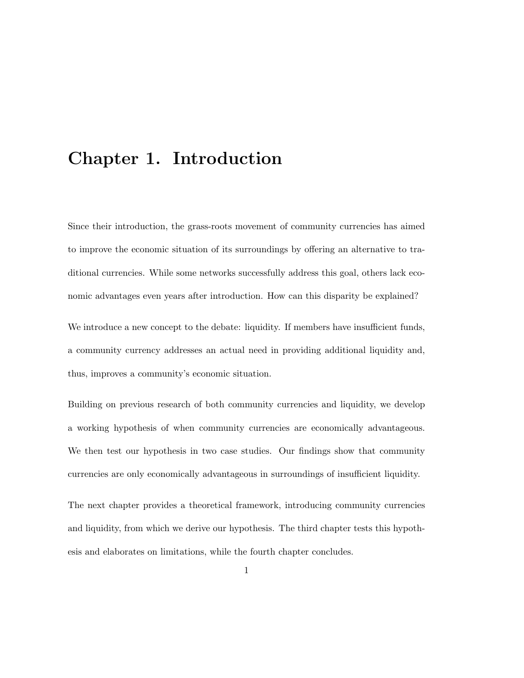## <span id="page-3-0"></span>Chapter 1. Introduction

Since their introduction, the grass-roots movement of community currencies has aimed to improve the economic situation of its surroundings by offering an alternative to traditional currencies. While some networks successfully address this goal, others lack economic advantages even years after introduction. How can this disparity be explained?

We introduce a new concept to the debate: liquidity. If members have insufficient funds, a community currency addresses an actual need in providing additional liquidity and, thus, improves a community's economic situation.

Building on previous research of both community currencies and liquidity, we develop a working hypothesis of when community currencies are economically advantageous. We then test our hypothesis in two case studies. Our findings show that community currencies are only economically advantageous in surroundings of insufficient liquidity.

The next chapter provides a theoretical framework, introducing community currencies and liquidity, from which we derive our hypothesis. The third chapter tests this hypothesis and elaborates on limitations, while the fourth chapter concludes.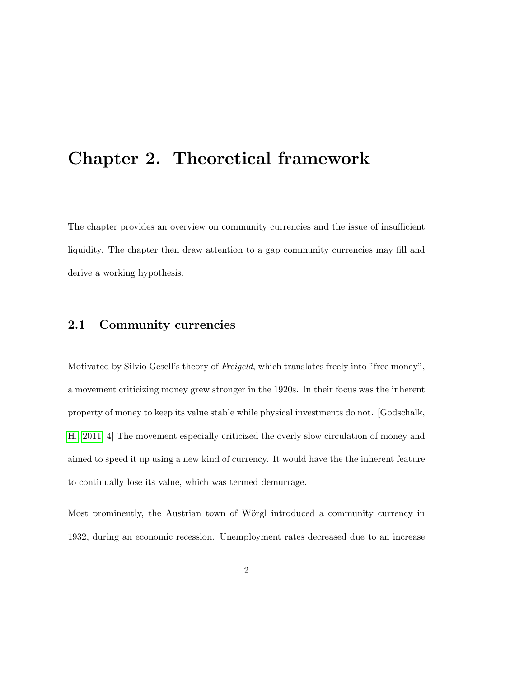# <span id="page-4-0"></span>Chapter 2. Theoretical framework

The chapter provides an overview on community currencies and the issue of insufficient liquidity. The chapter then draw attention to a gap community currencies may fill and derive a working hypothesis.

### <span id="page-4-1"></span>2.1 Community currencies

Motivated by Silvio Gesell's theory of *Freigeld*, which translates freely into "free money", a movement criticizing money grew stronger in the 1920s. In their focus was the inherent property of money to keep its value stable while physical investments do not. [\[Godschalk,](#page-24-0) [H., 2011,](#page-24-0) 4] The movement especially criticized the overly slow circulation of money and aimed to speed it up using a new kind of currency. It would have the the inherent feature to continually lose its value, which was termed demurrage.

Most prominently, the Austrian town of Wörgl introduced a community currency in 1932, during an economic recession. Unemployment rates decreased due to an increase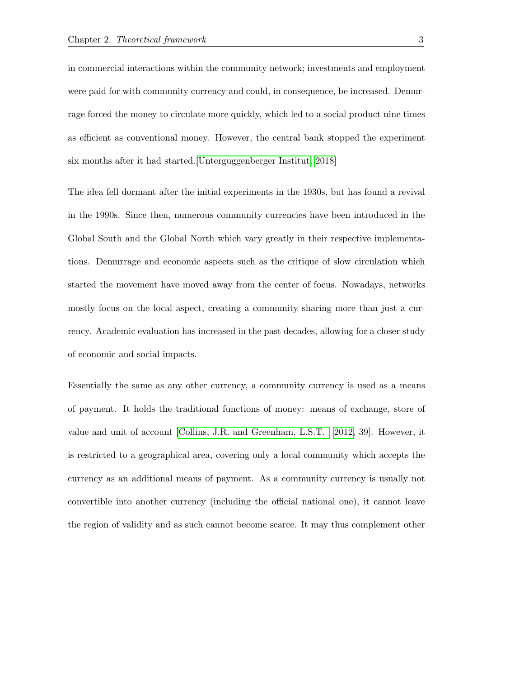in commercial interactions within the community network; investments and employment were paid for with community currency and could, in consequence, be increased. Demurrage forced the money to circulate more quickly, which led to a social product nine times as efficient as conventional money. However, the central bank stopped the experiment six months after it had started.[\[Unterguggenberger Institut, 2018\]](#page-25-0)

The idea fell dormant after the initial experiments in the 1930s, but has found a revival in the 1990s. Since then, numerous community currencies have been introduced in the Global South and the Global North which vary greatly in their respective implementations. Demurrage and economic aspects such as the critique of slow circulation which started the movement have moved away from the center of focus. Nowadays, networks mostly focus on the local aspect, creating a community sharing more than just a currency. Academic evaluation has increased in the past decades, allowing for a closer study of economic and social impacts.

Essentially the same as any other currency, a community currency is used as a means of payment. It holds the traditional functions of money: means of exchange, store of value and unit of account [\[Collins, J.R. and Greenham, L.S.T. , 2012,](#page-23-0) 39]. However, it is restricted to a geographical area, covering only a local community which accepts the currency as an additional means of payment. As a community currency is usually not convertible into another currency (including the official national one), it cannot leave the region of validity and as such cannot become scarce. It may thus complement other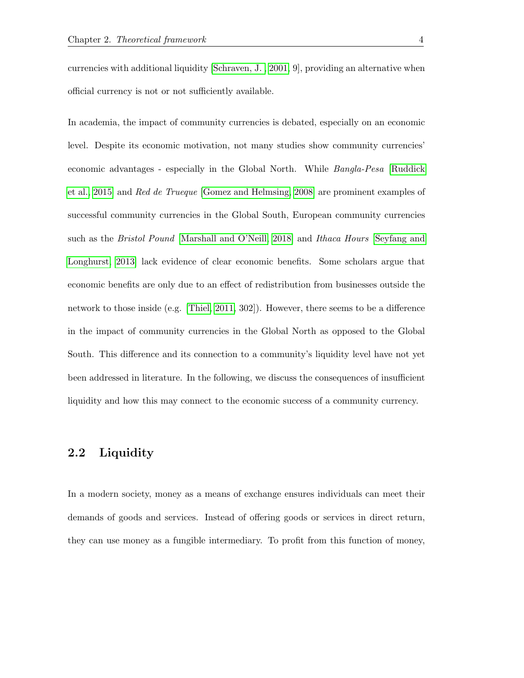currencies with additional liquidity [\[Schraven, J. , 2001,](#page-25-1) 9], providing an alternative when official currency is not or not sufficiently available.

In academia, the impact of community currencies is debated, especially on an economic level. Despite its economic motivation, not many studies show community currencies' economic advantages - especially in the Global North. While Bangla-Pesa [\[Ruddick](#page-25-2) [et al., 2015\]](#page-25-2) and Red de Trueque [\[Gomez and Helmsing, 2008\]](#page-24-1) are prominent examples of successful community currencies in the Global South, European community currencies such as the Bristol Pound [\[Marshall and O'Neill, 2018\]](#page-24-2) and Ithaca Hours [\[Seyfang and](#page-25-3) [Longhurst, 2013\]](#page-25-3) lack evidence of clear economic benefits. Some scholars argue that economic benefits are only due to an effect of redistribution from businesses outside the network to those inside (e.g. [\[Thiel, 2011,](#page-25-4) 302]). However, there seems to be a difference in the impact of community currencies in the Global North as opposed to the Global South. This difference and its connection to a community's liquidity level have not yet been addressed in literature. In the following, we discuss the consequences of insufficient liquidity and how this may connect to the economic success of a community currency.

### <span id="page-6-0"></span>2.2 Liquidity

In a modern society, money as a means of exchange ensures individuals can meet their demands of goods and services. Instead of offering goods or services in direct return, they can use money as a fungible intermediary. To profit from this function of money,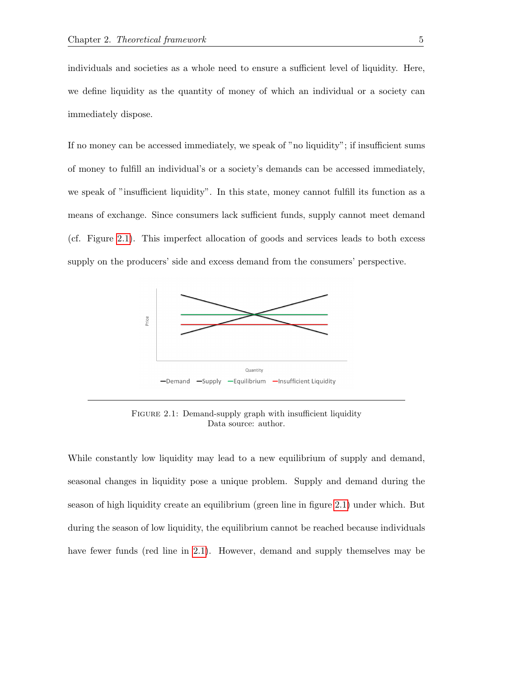individuals and societies as a whole need to ensure a sufficient level of liquidity. Here, we define liquidity as the quantity of money of which an individual or a society can immediately dispose.

If no money can be accessed immediately, we speak of "no liquidity"; if insufficient sums of money to fulfill an individual's or a society's demands can be accessed immediately, we speak of "insufficient liquidity". In this state, money cannot fulfill its function as a means of exchange. Since consumers lack sufficient funds, supply cannot meet demand (cf. Figure [2.1\)](#page-7-0). This imperfect allocation of goods and services leads to both excess supply on the producers' side and excess demand from the consumers' perspective.

<span id="page-7-0"></span>

FIGURE 2.1: Demand-supply graph with insufficient liquidity Data source: author.

While constantly low liquidity may lead to a new equilibrium of supply and demand, seasonal changes in liquidity pose a unique problem. Supply and demand during the season of high liquidity create an equilibrium (green line in figure [2.1\)](#page-7-0) under which. But during the season of low liquidity, the equilibrium cannot be reached because individuals have fewer funds (red line in [2.1\)](#page-7-0). However, demand and supply themselves may be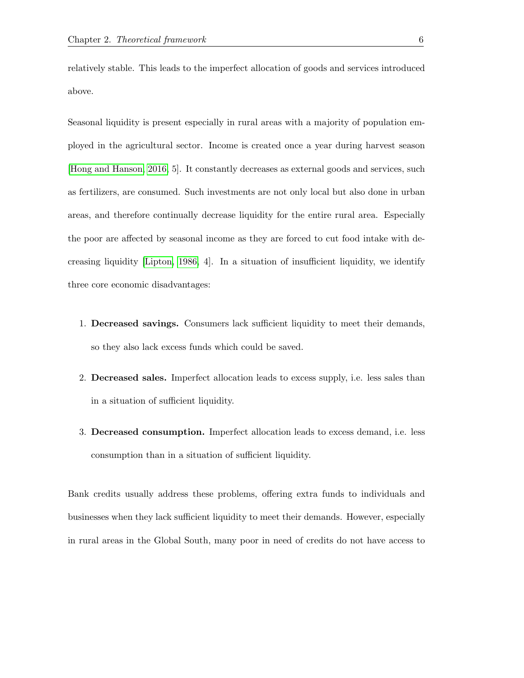relatively stable. This leads to the imperfect allocation of goods and services introduced above.

Seasonal liquidity is present especially in rural areas with a majority of population employed in the agricultural sector. Income is created once a year during harvest season [\[Hong and Hanson, 2016,](#page-24-3) 5]. It constantly decreases as external goods and services, such as fertilizers, are consumed. Such investments are not only local but also done in urban areas, and therefore continually decrease liquidity for the entire rural area. Especially the poor are affected by seasonal income as they are forced to cut food intake with decreasing liquidity [\[Lipton, 1986,](#page-24-4) 4]. In a situation of insufficient liquidity, we identify three core economic disadvantages:

- 1. Decreased savings. Consumers lack sufficient liquidity to meet their demands, so they also lack excess funds which could be saved.
- 2. Decreased sales. Imperfect allocation leads to excess supply, i.e. less sales than in a situation of sufficient liquidity.
- 3. Decreased consumption. Imperfect allocation leads to excess demand, i.e. less consumption than in a situation of sufficient liquidity.

Bank credits usually address these problems, offering extra funds to individuals and businesses when they lack sufficient liquidity to meet their demands. However, especially in rural areas in the Global South, many poor in need of credits do not have access to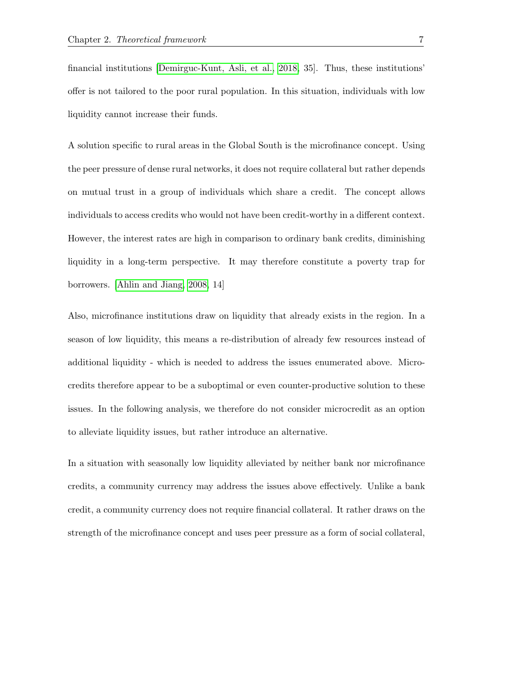financial institutions [\[Demirguc-Kunt, Asli, et al., 2018,](#page-23-1) 35]. Thus, these institutions' offer is not tailored to the poor rural population. In this situation, individuals with low liquidity cannot increase their funds.

A solution specific to rural areas in the Global South is the microfinance concept. Using the peer pressure of dense rural networks, it does not require collateral but rather depends on mutual trust in a group of individuals which share a credit. The concept allows individuals to access credits who would not have been credit-worthy in a different context. However, the interest rates are high in comparison to ordinary bank credits, diminishing liquidity in a long-term perspective. It may therefore constitute a poverty trap for borrowers. [\[Ahlin and Jiang, 2008,](#page-23-2) 14]

Also, microfinance institutions draw on liquidity that already exists in the region. In a season of low liquidity, this means a re-distribution of already few resources instead of additional liquidity - which is needed to address the issues enumerated above. Microcredits therefore appear to be a suboptimal or even counter-productive solution to these issues. In the following analysis, we therefore do not consider microcredit as an option to alleviate liquidity issues, but rather introduce an alternative.

In a situation with seasonally low liquidity alleviated by neither bank nor microfinance credits, a community currency may address the issues above effectively. Unlike a bank credit, a community currency does not require financial collateral. It rather draws on the strength of the microfinance concept and uses peer pressure as a form of social collateral,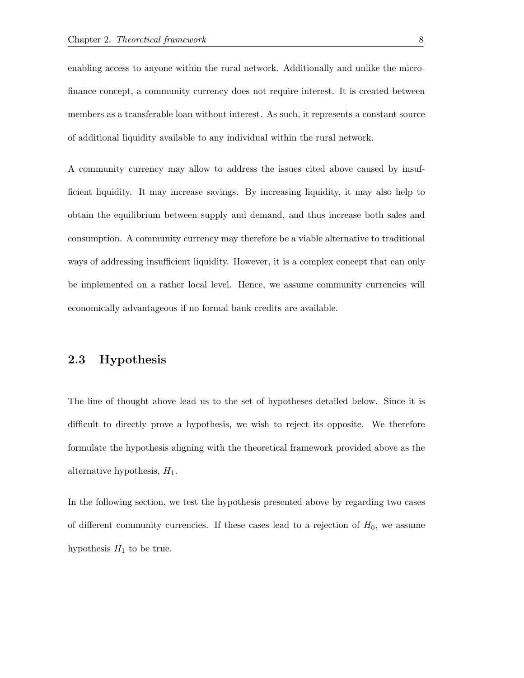enabling access to anyone within the rural network. Additionally and unlike the microfinance concept, a community currency does not require interest. It is created between members as a transferable loan without interest. As such, it represents a constant source of additional liquidity available to any individual within the rural network.

A community currency may allow to address the issues cited above caused by insufficient liquidity. It may increase savings. By increasing liquidity, it may also help to obtain the equilibrium between supply and demand, and thus increase both sales and consumption. A community currency may therefore be a viable alternative to traditional ways of addressing insufficient liquidity. However, it is a complex concept that can only be implemented on a rather local level. Hence, we assume community currencies will economically advantageous if no formal bank credits are available.

### <span id="page-10-0"></span>2.3 Hypothesis

The line of thought above lead us to the set of hypotheses detailed below. Since it is difficult to directly prove a hypothesis, we wish to reject its opposite. We therefore formulate the hypothesis aligning with the theoretical framework provided above as the alternative hypothesis,  $H_1$ .

In the following section, we test the hypothesis presented above by regarding two cases of different community currencies. If these cases lead to a rejection of  $H_0$ , we assume hypothesis  $H_1$  to be true.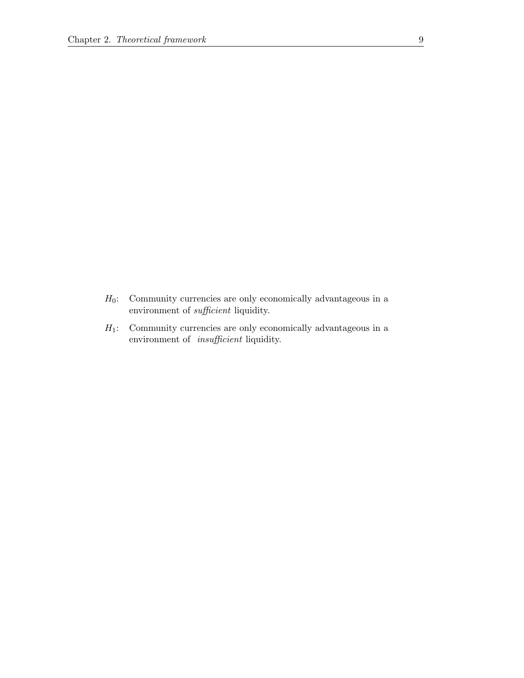- $H_0$ : Community currencies are only economically advantageous in a environment of sufficient liquidity.
- $H_1$ : Community currencies are only economically advantageous in a environment of insufficient liquidity.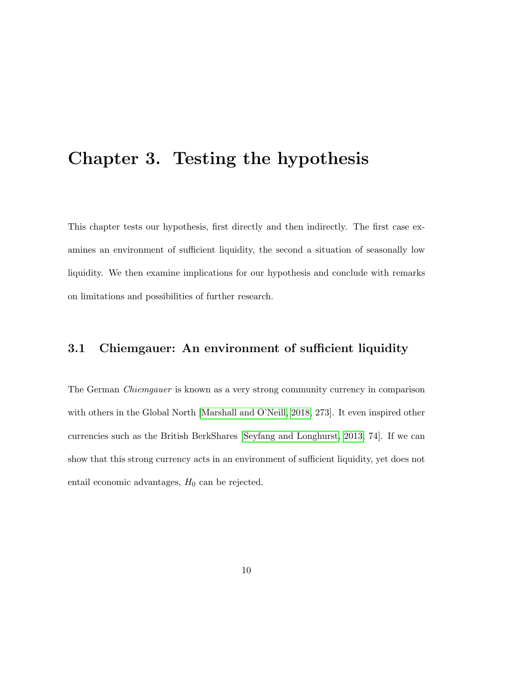## <span id="page-12-0"></span>Chapter 3. Testing the hypothesis

This chapter tests our hypothesis, first directly and then indirectly. The first case examines an environment of sufficient liquidity, the second a situation of seasonally low liquidity. We then examine implications for our hypothesis and conclude with remarks on limitations and possibilities of further research.

## <span id="page-12-1"></span>3.1 Chiemgauer: An environment of sufficient liquidity

<span id="page-12-2"></span>The German Chiemgauer is known as a very strong community currency in comparison with others in the Global North [\[Marshall and O'Neill, 2018,](#page-24-2) 273]. It even inspired other currencies such as the British BerkShares [\[Seyfang and Longhurst, 2013,](#page-25-3) 74]. If we can show that this strong currency acts in an environment of sufficient liquidity, yet does not entail economic advantages,  $H_0$  can be rejected.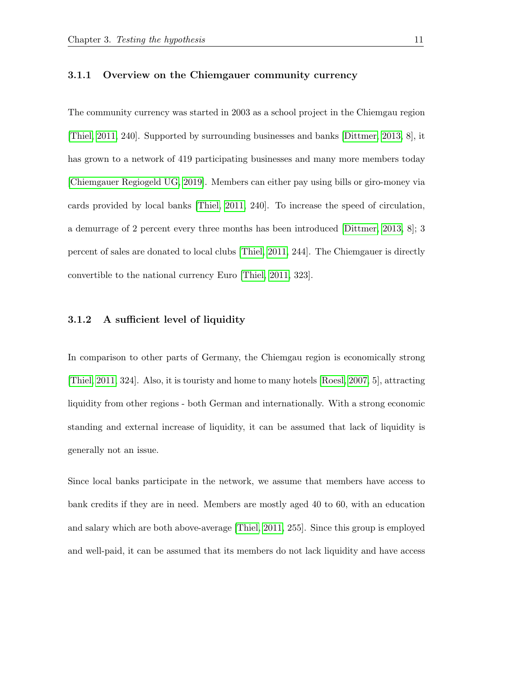#### 3.1.1 Overview on the Chiemgauer community currency

The community currency was started in 2003 as a school project in the Chiemgau region [\[Thiel, 2011,](#page-25-4) 240]. Supported by surrounding businesses and banks [\[Dittmer, 2013,](#page-23-3) 8], it has grown to a network of 419 participating businesses and many more members today [\[Chiemgauer Regiogeld UG, 2019\]](#page-23-4). Members can either pay using bills or giro-money via cards provided by local banks [\[Thiel, 2011,](#page-25-4) 240]. To increase the speed of circulation, a demurrage of 2 percent every three months has been introduced [\[Dittmer, 2013,](#page-23-3) 8]; 3 percent of sales are donated to local clubs [\[Thiel, 2011,](#page-25-4) 244]. The Chiemgauer is directly convertible to the national currency Euro [\[Thiel, 2011,](#page-25-4) 323].

#### <span id="page-13-0"></span>3.1.2 A sufficient level of liquidity

In comparison to other parts of Germany, the Chiemgau region is economically strong [\[Thiel, 2011,](#page-25-4) 324]. Also, it is touristy and home to many hotels [\[Roesl, 2007,](#page-25-5) 5], attracting liquidity from other regions - both German and internationally. With a strong economic standing and external increase of liquidity, it can be assumed that lack of liquidity is generally not an issue.

Since local banks participate in the network, we assume that members have access to bank credits if they are in need. Members are mostly aged 40 to 60, with an education and salary which are both above-average [\[Thiel, 2011,](#page-25-4) 255]. Since this group is employed and well-paid, it can be assumed that its members do not lack liquidity and have access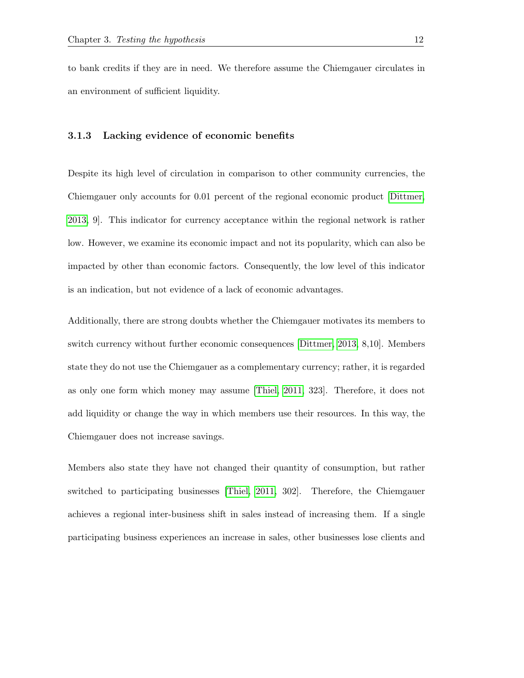<span id="page-14-0"></span>to bank credits if they are in need. We therefore assume the Chiemgauer circulates in an environment of sufficient liquidity.

#### 3.1.3 Lacking evidence of economic benefits

Despite its high level of circulation in comparison to other community currencies, the Chiemgauer only accounts for 0.01 percent of the regional economic product [\[Dittmer,](#page-23-3) [2013,](#page-23-3) 9]. This indicator for currency acceptance within the regional network is rather low. However, we examine its economic impact and not its popularity, which can also be impacted by other than economic factors. Consequently, the low level of this indicator is an indication, but not evidence of a lack of economic advantages.

Additionally, there are strong doubts whether the Chiemgauer motivates its members to switch currency without further economic consequences [\[Dittmer, 2013,](#page-23-3) 8,10]. Members state they do not use the Chiemgauer as a complementary currency; rather, it is regarded as only one form which money may assume [\[Thiel, 2011,](#page-25-4) 323]. Therefore, it does not add liquidity or change the way in which members use their resources. In this way, the Chiemgauer does not increase savings.

Members also state they have not changed their quantity of consumption, but rather switched to participating businesses [\[Thiel, 2011,](#page-25-4) 302]. Therefore, the Chiemgauer achieves a regional inter-business shift in sales instead of increasing them. If a single participating business experiences an increase in sales, other businesses lose clients and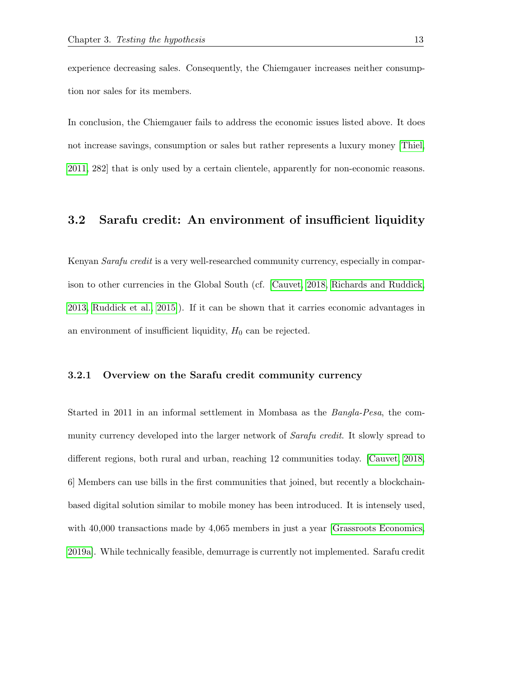experience decreasing sales. Consequently, the Chiemgauer increases neither consumption nor sales for its members.

In conclusion, the Chiemgauer fails to address the economic issues listed above. It does not increase savings, consumption or sales but rather represents a luxury money [\[Thiel,](#page-25-4) [2011,](#page-25-4) 282] that is only used by a certain clientele, apparently for non-economic reasons.

#### <span id="page-15-0"></span>3.2 Sarafu credit: An environment of insufficient liquidity

Kenyan *Sarafu credit* is a very well-researched community currency, especially in comparison to other currencies in the Global South (cf. [\[Cauvet, 2018,](#page-23-5) [Richards and Ruddick,](#page-24-5) [2013,](#page-24-5) [Ruddick et al., 2015\]](#page-25-2)). If it can be shown that it carries economic advantages in an environment of insufficient liquidity,  $H_0$  can be rejected.

#### <span id="page-15-1"></span>3.2.1 Overview on the Sarafu credit community currency

Started in 2011 in an informal settlement in Mombasa as the Bangla-Pesa, the community currency developed into the larger network of *Sarafu credit*. It slowly spread to different regions, both rural and urban, reaching 12 communities today. [\[Cauvet, 2018,](#page-23-5) 6] Members can use bills in the first communities that joined, but recently a blockchainbased digital solution similar to mobile money has been introduced. It is intensely used, with 40,000 transactions made by 4,065 members in just a year [\[Grassroots Economics,](#page-24-6) [2019a\]](#page-24-6). While technically feasible, demurrage is currently not implemented. Sarafu credit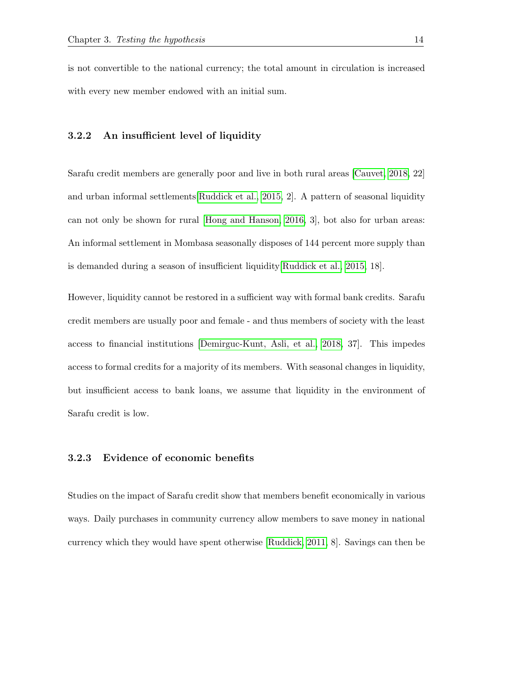<span id="page-16-0"></span>is not convertible to the national currency; the total amount in circulation is increased with every new member endowed with an initial sum.

#### 3.2.2 An insufficient level of liquidity

Sarafu credit members are generally poor and live in both rural areas [\[Cauvet, 2018,](#page-23-5) 22] and urban informal settlements[\[Ruddick et al., 2015,](#page-25-2) 2]. A pattern of seasonal liquidity can not only be shown for rural [\[Hong and Hanson, 2016,](#page-24-3) 3], bot also for urban areas: An informal settlement in Mombasa seasonally disposes of 144 percent more supply than is demanded during a season of insufficient liquidity[\[Ruddick et al., 2015,](#page-25-2) 18].

However, liquidity cannot be restored in a sufficient way with formal bank credits. Sarafu credit members are usually poor and female - and thus members of society with the least access to financial institutions [\[Demirguc-Kunt, Asli, et al., 2018,](#page-23-1) 37]. This impedes access to formal credits for a majority of its members. With seasonal changes in liquidity, but insufficient access to bank loans, we assume that liquidity in the environment of Sarafu credit is low.

#### <span id="page-16-1"></span>3.2.3 Evidence of economic benefits

Studies on the impact of Sarafu credit show that members benefit economically in various ways. Daily purchases in community currency allow members to save money in national currency which they would have spent otherwise [\[Ruddick, 2011,](#page-25-6) 8]. Savings can then be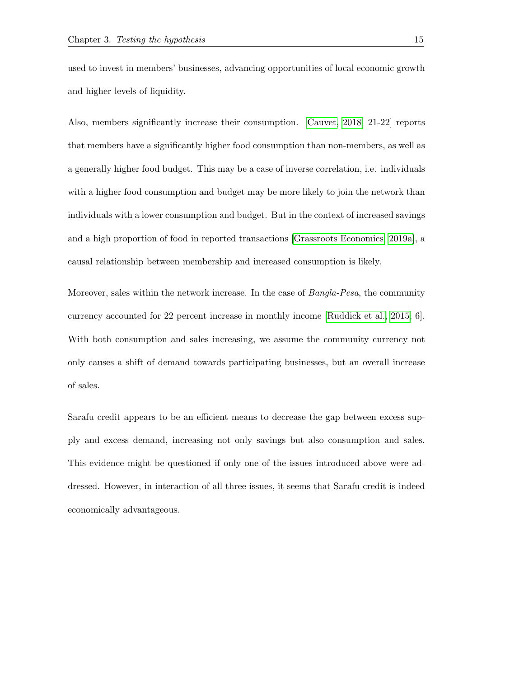used to invest in members' businesses, advancing opportunities of local economic growth and higher levels of liquidity.

Also, members significantly increase their consumption. [\[Cauvet, 2018,](#page-23-5) 21-22] reports that members have a significantly higher food consumption than non-members, as well as a generally higher food budget. This may be a case of inverse correlation, i.e. individuals with a higher food consumption and budget may be more likely to join the network than individuals with a lower consumption and budget. But in the context of increased savings and a high proportion of food in reported transactions [\[Grassroots Economics, 2019a\]](#page-24-6), a causal relationship between membership and increased consumption is likely.

Moreover, sales within the network increase. In the case of *Bangla-Pesa*, the community currency accounted for 22 percent increase in monthly income [\[Ruddick et al., 2015,](#page-25-2) 6]. With both consumption and sales increasing, we assume the community currency not only causes a shift of demand towards participating businesses, but an overall increase of sales.

<span id="page-17-0"></span>Sarafu credit appears to be an efficient means to decrease the gap between excess supply and excess demand, increasing not only savings but also consumption and sales. This evidence might be questioned if only one of the issues introduced above were addressed. However, in interaction of all three issues, it seems that Sarafu credit is indeed economically advantageous.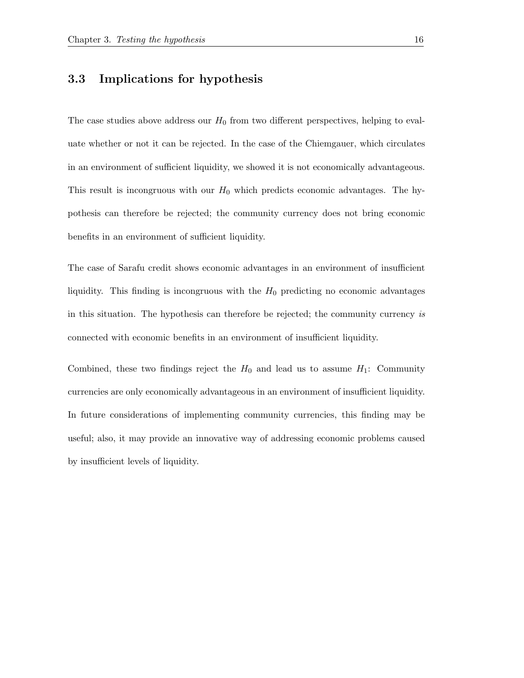### 3.3 Implications for hypothesis

The case studies above address our  $H_0$  from two different perspectives, helping to evaluate whether or not it can be rejected. In the case of the Chiemgauer, which circulates in an environment of sufficient liquidity, we showed it is not economically advantageous. This result is incongruous with our  $H_0$  which predicts economic advantages. The hypothesis can therefore be rejected; the community currency does not bring economic benefits in an environment of sufficient liquidity.

The case of Sarafu credit shows economic advantages in an environment of insufficient liquidity. This finding is incongruous with the  $H_0$  predicting no economic advantages in this situation. The hypothesis can therefore be rejected; the community currency is connected with economic benefits in an environment of insufficient liquidity.

<span id="page-18-0"></span>Combined, these two findings reject the  $H_0$  and lead us to assume  $H_1$ : Community currencies are only economically advantageous in an environment of insufficient liquidity. In future considerations of implementing community currencies, this finding may be useful; also, it may provide an innovative way of addressing economic problems caused by insufficient levels of liquidity.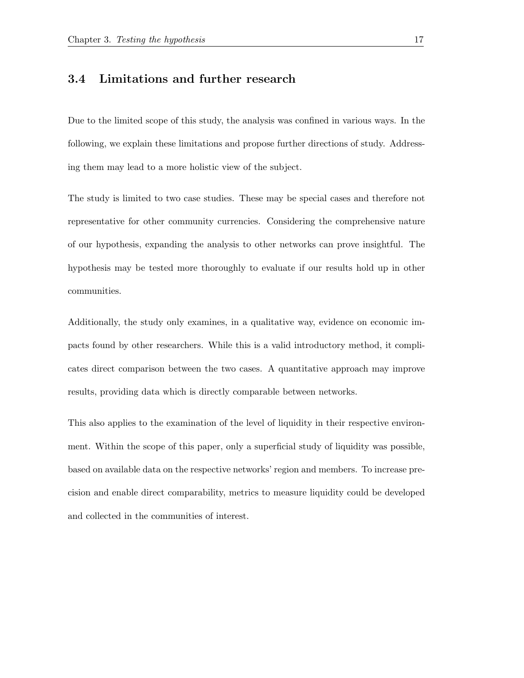### 3.4 Limitations and further research

Due to the limited scope of this study, the analysis was confined in various ways. In the following, we explain these limitations and propose further directions of study. Addressing them may lead to a more holistic view of the subject.

The study is limited to two case studies. These may be special cases and therefore not representative for other community currencies. Considering the comprehensive nature of our hypothesis, expanding the analysis to other networks can prove insightful. The hypothesis may be tested more thoroughly to evaluate if our results hold up in other communities.

Additionally, the study only examines, in a qualitative way, evidence on economic impacts found by other researchers. While this is a valid introductory method, it complicates direct comparison between the two cases. A quantitative approach may improve results, providing data which is directly comparable between networks.

This also applies to the examination of the level of liquidity in their respective environment. Within the scope of this paper, only a superficial study of liquidity was possible, based on available data on the respective networks' region and members. To increase precision and enable direct comparability, metrics to measure liquidity could be developed and collected in the communities of interest.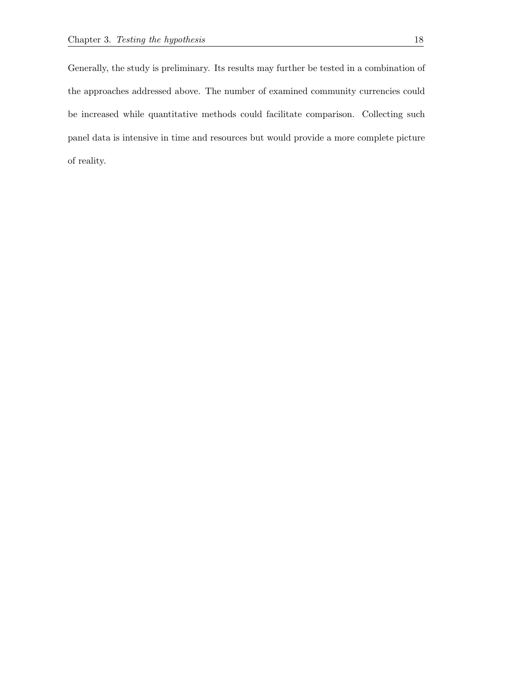Generally, the study is preliminary. Its results may further be tested in a combination of the approaches addressed above. The number of examined community currencies could be increased while quantitative methods could facilitate comparison. Collecting such panel data is intensive in time and resources but would provide a more complete picture of reality.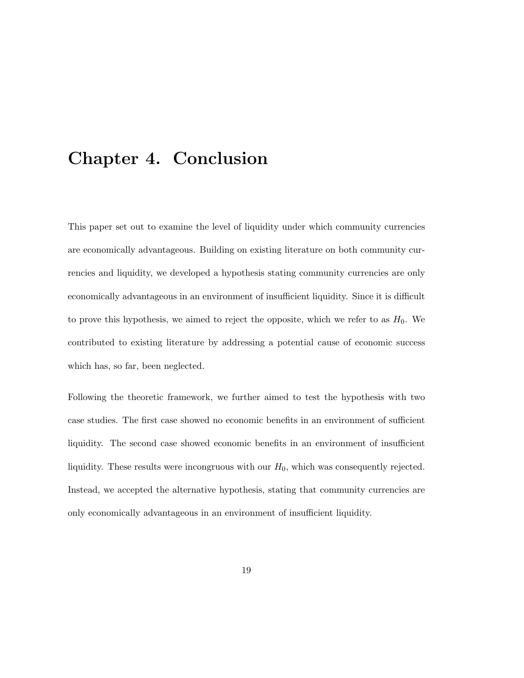## <span id="page-21-0"></span>Chapter 4. Conclusion

This paper set out to examine the level of liquidity under which community currencies are economically advantageous. Building on existing literature on both community currencies and liquidity, we developed a hypothesis stating community currencies are only economically advantageous in an environment of insufficient liquidity. Since it is difficult to prove this hypothesis, we aimed to reject the opposite, which we refer to as  $H_0$ . We contributed to existing literature by addressing a potential cause of economic success which has, so far, been neglected.

Following the theoretic framework, we further aimed to test the hypothesis with two case studies. The first case showed no economic benefits in an environment of sufficient liquidity. The second case showed economic benefits in an environment of insufficient liquidity. These results were incongruous with our  $H_0$ , which was consequently rejected. Instead, we accepted the alternative hypothesis, stating that community currencies are only economically advantageous in an environment of insufficient liquidity.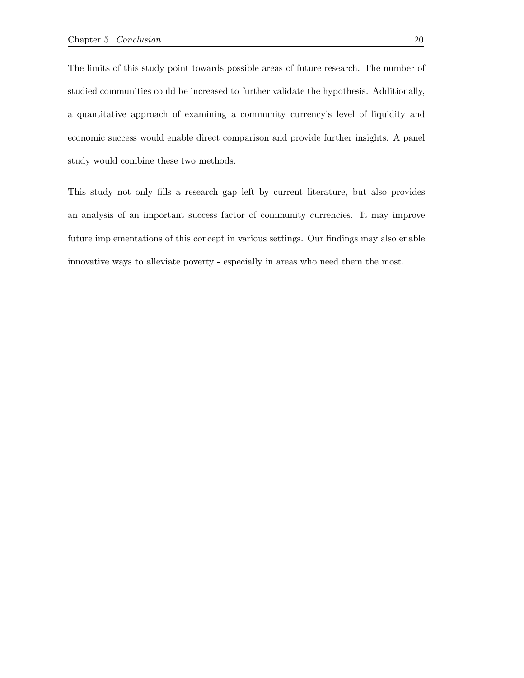The limits of this study point towards possible areas of future research. The number of studied communities could be increased to further validate the hypothesis. Additionally, a quantitative approach of examining a community currency's level of liquidity and economic success would enable direct comparison and provide further insights. A panel study would combine these two methods.

This study not only fills a research gap left by current literature, but also provides an analysis of an important success factor of community currencies. It may improve future implementations of this concept in various settings. Our findings may also enable innovative ways to alleviate poverty - especially in areas who need them the most.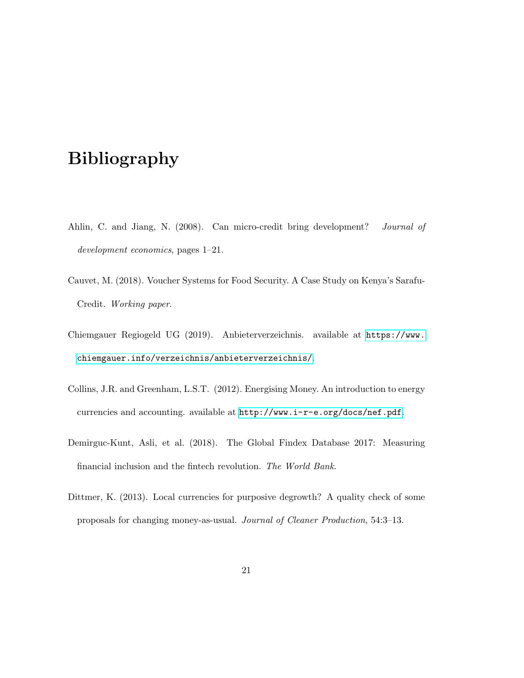# Bibliography

- <span id="page-23-2"></span>Ahlin, C. and Jiang, N. (2008). Can micro-credit bring development? Journal of development economics, pages 1–21.
- <span id="page-23-5"></span>Cauvet, M. (2018). Voucher Systems for Food Security. A Case Study on Kenya's Sarafu-Credit. Working paper.
- <span id="page-23-4"></span>Chiemgauer Regiogeld UG (2019). Anbieterverzeichnis. available at [https://www.](https://www.chiemgauer.info/verzeichnis/anbieterverzeichnis/) [chiemgauer.info/verzeichnis/anbieterverzeichnis/](https://www.chiemgauer.info/verzeichnis/anbieterverzeichnis/).
- <span id="page-23-0"></span>Collins, J.R. and Greenham, L.S.T. (2012). Energising Money. An introduction to energy currencies and accounting. available at <http://www.i-r-e.org/docs/nef.pdf>.
- <span id="page-23-1"></span>Demirguc-Kunt, Asli, et al. (2018). The Global Findex Database 2017: Measuring financial inclusion and the fintech revolution. The World Bank.
- <span id="page-23-3"></span>Dittmer, K. (2013). Local currencies for purposive degrowth? A quality check of some proposals for changing money-as-usual. Journal of Cleaner Production, 54:3–13.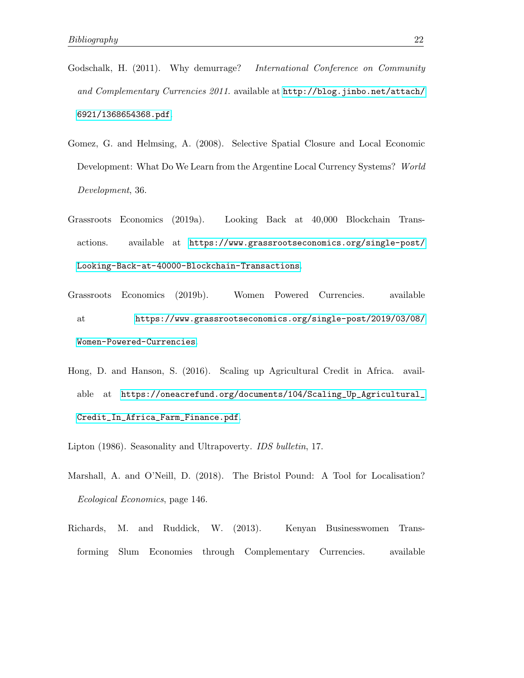- <span id="page-24-0"></span>Godschalk, H. (2011). Why demurrage? *International Conference on Community* and Complementary Currencies 2011. available at [http://blog.jinbo.net/attach/](http://blog.jinbo.net/attach/6921/1368654368.pdf) [6921/1368654368.pdf](http://blog.jinbo.net/attach/6921/1368654368.pdf).
- <span id="page-24-1"></span>Gomez, G. and Helmsing, A. (2008). Selective Spatial Closure and Local Economic Development: What Do We Learn from the Argentine Local Currency Systems? World Development, 36.
- <span id="page-24-6"></span>Grassroots Economics (2019a). Looking Back at 40,000 Blockchain Transactions. available at [https://www.grassrootseconomics.org/single-post/](https://www.grassrootseconomics.org/single-post/Looking-Back-at-40000-Blockchain-Transactions) [Looking-Back-at-40000-Blockchain-Transactions](https://www.grassrootseconomics.org/single-post/Looking-Back-at-40000-Blockchain-Transactions).
- Grassroots Economics (2019b). Women Powered Currencies. available at [https://www.grassrootseconomics.org/single-post/2019/03/08/](https://www.grassrootseconomics.org/single-post/2019/03/08/Women-Powered-Currencies) [Women-Powered-Currencies](https://www.grassrootseconomics.org/single-post/2019/03/08/Women-Powered-Currencies).
- <span id="page-24-3"></span>Hong, D. and Hanson, S. (2016). Scaling up Agricultural Credit in Africa. available at [https://oneacrefund.org/documents/104/Scaling\\_Up\\_Agricultural\\_](https://oneacrefund.org/documents/104/Scaling_Up_Agricultural_Credit_In_Africa_Farm_Finance.pdf) [Credit\\_In\\_Africa\\_Farm\\_Finance.pdf](https://oneacrefund.org/documents/104/Scaling_Up_Agricultural_Credit_In_Africa_Farm_Finance.pdf).
- <span id="page-24-4"></span><span id="page-24-2"></span>Lipton (1986). Seasonality and Ultrapoverty. IDS bulletin, 17.
- Marshall, A. and O'Neill, D. (2018). The Bristol Pound: A Tool for Localisation? Ecological Economics, page 146.
- <span id="page-24-5"></span>Richards, M. and Ruddick, W. (2013). Kenyan Businesswomen Transforming Slum Economies through Complementary Currencies. available